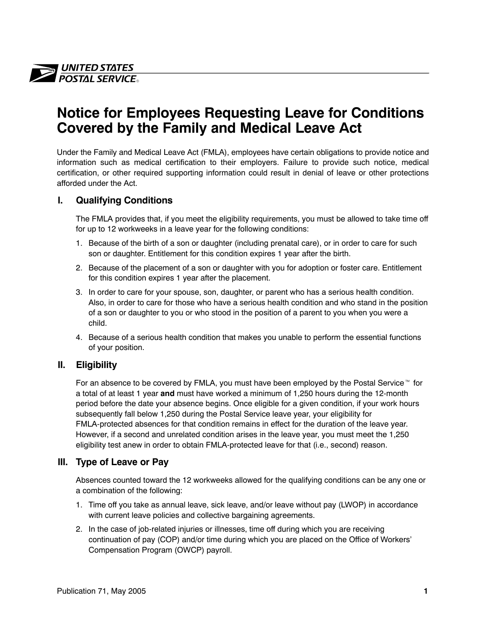

# **Notice for Employees Requesting Leave for Conditions Covered by the Family and Medical Leave Act**

Under the Family and Medical Leave Act (FMLA), employees have certain obligations to provide notice and information such as medical certification to their employers. Failure to provide such notice, medical certification, or other required supporting information could result in denial of leave or other protections afforded under the Act.

### **I. Qualifying Conditions**

The FMLA provides that, if you meet the eligibility requirements, you must be allowed to take time off for up to 12 workweeks in a leave year for the following conditions:

- 1. Because of the birth of a son or daughter (including prenatal care), or in order to care for such son or daughter. Entitlement for this condition expires 1 year after the birth.
- 2. Because of the placement of a son or daughter with you for adoption or foster care. Entitlement for this condition expires 1 year after the placement.
- 3. In order to care for your spouse, son, daughter, or parent who has a serious health condition. Also, in order to care for those who have a serious health condition and who stand in the position of a son or daughter to you or who stood in the position of a parent to you when you were a child.
- 4. Because of a serious health condition that makes you unable to perform the essential functions of your position.

### **II. Eligibility**

For an absence to be covered by FMLA, you must have been employed by the Postal Service<sup>™</sup> for a total of at least 1 year **and** must have worked a minimum of 1,250 hours during the 12-month period before the date your absence begins. Once eligible for a given condition, if your work hours subsequently fall below 1,250 during the Postal Service leave year, your eligibility for FMLA-protected absences for that condition remains in effect for the duration of the leave year. However, if a second and unrelated condition arises in the leave year, you must meet the 1,250 eligibility test anew in order to obtain FMLA-protected leave for that (i.e., second) reason.

### **III. Type of Leave or Pay**

Absences counted toward the 12 workweeks allowed for the qualifying conditions can be any one or a combination of the following:

- 1. Time off you take as annual leave, sick leave, and/or leave without pay (LWOP) in accordance with current leave policies and collective bargaining agreements.
- 2. In the case of job-related injuries or illnesses, time off during which you are receiving continuation of pay (COP) and/or time during which you are placed on the Office of Workers' Compensation Program (OWCP) payroll.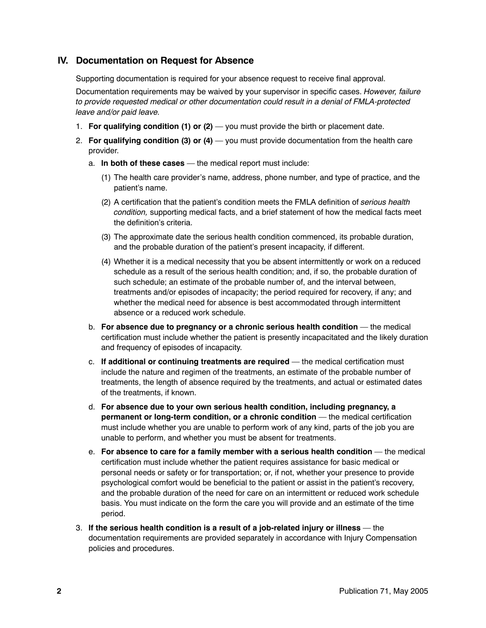## **IV. Documentation on Request for Absence**

Supporting documentation is required for your absence request to receive final approval.

Documentation requirements may be waived by your supervisor in specific cases. *However, failure to provide requested medical or other documentation could result in a denial of FMLA-protected leave and/or paid leave.*

- 1. **For qualifying condition (1) or (2)**  you must provide the birth or placement date.
- 2. **For qualifying condition (3) or (4)**  you must provide documentation from the health care provider.
	- a. **In both of these cases**  the medical report must include:
		- (1) The health care provider's name, address, phone number, and type of practice, and the patient's name.
		- (2) A certification that the patient's condition meets the FMLA definition of *serious health condition,* supporting medical facts, and a brief statement of how the medical facts meet the definition's criteria.
		- (3) The approximate date the serious health condition commenced, its probable duration, and the probable duration of the patient's present incapacity, if different.
		- (4) Whether it is a medical necessity that you be absent intermittently or work on a reduced schedule as a result of the serious health condition; and, if so, the probable duration of such schedule; an estimate of the probable number of, and the interval between, treatments and/or episodes of incapacity; the period required for recovery, if any; and whether the medical need for absence is best accommodated through intermittent absence or a reduced work schedule.
	- b. **For absence due to pregnancy or a chronic serious health condition**  the medical certification must include whether the patient is presently incapacitated and the likely duration and frequency of episodes of incapacity.
	- c. **If additional or continuing treatments are required**  the medical certification must include the nature and regimen of the treatments, an estimate of the probable number of treatments, the length of absence required by the treatments, and actual or estimated dates of the treatments, if known.
	- d. **For absence due to your own serious health condition, including pregnancy, a permanent or long-term condition, or a chronic condition** — the medical certification must include whether you are unable to perform work of any kind, parts of the job you are unable to perform, and whether you must be absent for treatments.
	- e. **For absence to care for a family member with a serious health condition**  the medical certification must include whether the patient requires assistance for basic medical or personal needs or safety or for transportation; or, if not, whether your presence to provide psychological comfort would be beneficial to the patient or assist in the patient's recovery, and the probable duration of the need for care on an intermittent or reduced work schedule basis. You must indicate on the form the care you will provide and an estimate of the time period.
- 3. **If the serious health condition is a result of a job-related injury or illness**  the documentation requirements are provided separately in accordance with Injury Compensation policies and procedures.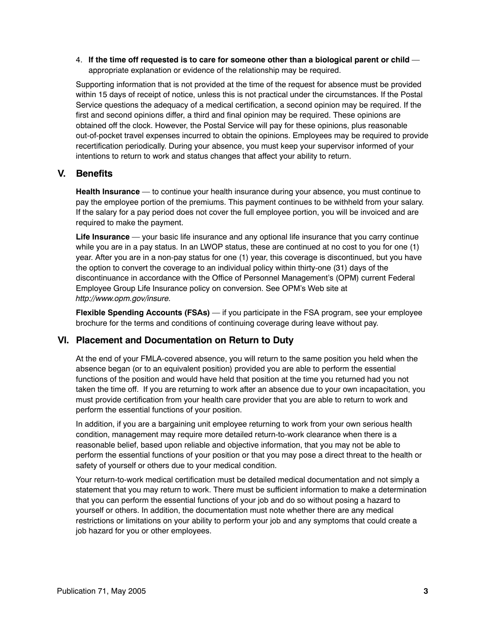4. **If the time off requested is to care for someone other than a biological parent or child**  appropriate explanation or evidence of the relationship may be required.

Supporting information that is not provided at the time of the request for absence must be provided within 15 days of receipt of notice, unless this is not practical under the circumstances. If the Postal Service questions the adequacy of a medical certification, a second opinion may be required. If the first and second opinions differ, a third and final opinion may be required. These opinions are obtained off the clock. However, the Postal Service will pay for these opinions, plus reasonable out-of-pocket travel expenses incurred to obtain the opinions. Employees may be required to provide recertification periodically. During your absence, you must keep your supervisor informed of your intentions to return to work and status changes that affect your ability to return.

#### **V. Benefits**

**Health Insurance** — to continue your health insurance during your absence, you must continue to pay the employee portion of the premiums. This payment continues to be withheld from your salary. If the salary for a pay period does not cover the full employee portion, you will be invoiced and are required to make the payment.

**Life Insurance** — your basic life insurance and any optional life insurance that you carry continue while you are in a pay status. In an LWOP status, these are continued at no cost to you for one (1) year. After you are in a non-pay status for one (1) year, this coverage is discontinued, but you have the option to convert the coverage to an individual policy within thirty-one (31) days of the discontinuance in accordance with the Office of Personnel Management's (OPM) current Federal Employee Group Life Insurance policy on conversion. See OPM's Web site at *http://www.opm.gov/insure.*

**Flexible Spending Accounts (FSAs)** — if you participate in the FSA program, see your employee brochure for the terms and conditions of continuing coverage during leave without pay.

#### **VI. Placement and Documentation on Return to Duty**

At the end of your FMLA-covered absence, you will return to the same position you held when the absence began (or to an equivalent position) provided you are able to perform the essential functions of the position and would have held that position at the time you returned had you not taken the time off. If you are returning to work after an absence due to your own incapacitation, you must provide certification from your health care provider that you are able to return to work and perform the essential functions of your position.

In addition, if you are a bargaining unit employee returning to work from your own serious health condition, management may require more detailed return-to-work clearance when there is a reasonable belief, based upon reliable and objective information, that you may not be able to perform the essential functions of your position or that you may pose a direct threat to the health or safety of yourself or others due to your medical condition.

Your return-to-work medical certification must be detailed medical documentation and not simply a statement that you may return to work. There must be sufficient information to make a determination that you can perform the essential functions of your job and do so without posing a hazard to yourself or others. In addition, the documentation must note whether there are any medical restrictions or limitations on your ability to perform your job and any symptoms that could create a job hazard for you or other employees.